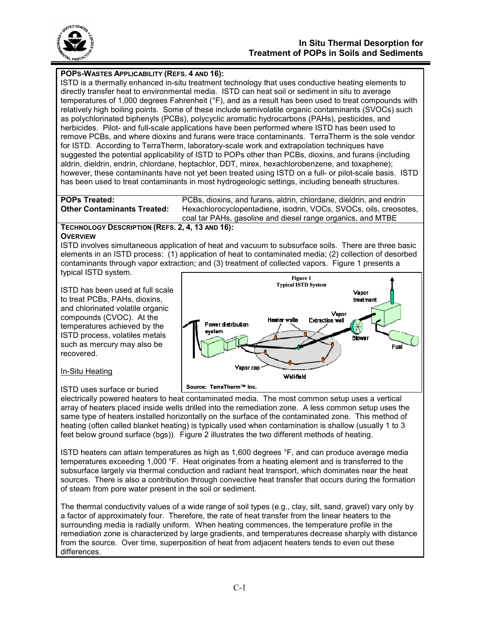

# **POPS-WASTES APPLICABILITY (REFS. 4 AND 16):**

ISTD is a thermally enhanced in-situ treatment technology that uses conductive heating elements to directly transfer heat to environmental media. ISTD can heat soil or sediment in situ to average temperatures of 1,000 degrees Fahrenheit (°F), and as a result has been used to treat compounds with relatively high boiling points. Some of these include semivolatile organic contaminants (SVOCs) such as polychlorinated biphenyls (PCBs), polycyclic aromatic hydrocarbons (PAHs), pesticides, and herbicides. Pilot- and full-scale applications have been performed where ISTD has been used to remove PCBs, and where dioxins and furans were trace contaminants. TerraTherm is the sole vendor for ISTD. According to TerraTherm, laboratory-scale work and extrapolation techniques have suggested the potential applicability of ISTD to POPs other than PCBs, dioxins, and furans (including aldrin, dieldrin, endrin, chlordane, heptachlor, DDT, mirex, hexachlorobenzene, and toxaphene); however, these contaminants have not yet been treated using ISTD on a full- or pilot-scale basis. ISTD has been used to treat contaminants in most hydrogeologic settings, including beneath structures.

**POPs Treated:** PCBs, dioxins, and furans, aldrin, chlordane, dieldrin, and endrin **Other Contaminants Treated:** Hexachlorocyclopentadiene, isodrin, VOCs, SVOCs, oils, creosotes, coal tar PAHs, gasoline and diesel range organics, and MTBE

#### **TECHNOLOGY DESCRIPTION (REFS. 2, 4, 13 AND 16): OVERVIEW**

ISTD involves simultaneous application of heat and vacuum to subsurface soils. There are three basic elements in an ISTD process: (1) application of heat to contaminated media; (2) collection of desorbed contaminants through vapor extraction; and (3) treatment of collected vapors. Figure 1 presents a typical ISTD system.

ISTD has been used at full scale to treat PCBs, PAHs, dioxins, and chlorinated volatile organic compounds (CVOC). At the temperatures achieved by the ISTD process, volatiles metals such as mercury may also be recovered.



# In-Situ Heating

ISTD uses surface or buried

electrically powered heaters to heat contaminated media. The most common setup uses a vertical array of heaters placed inside wells drilled into the remediation zone. A less common setup uses the same type of heaters installed horizontally on the surface of the contaminated zone. This method of heating (often called blanket heating) is typically used when contamination is shallow (usually 1 to 3 feet below ground surface (bgs)). Figure 2 illustrates the two different methods of heating.

ISTD heaters can attain temperatures as high as 1,600 degrees °F, and can produce average media temperatures exceeding 1,000 °F. Heat originates from a heating element and is transferred to the subsurface largely via thermal conduction and radiant heat transport, which dominates near the heat sources. There is also a contribution through convective heat transfer that occurs during the formation of steam from pore water present in the soil or sediment.

The thermal conductivity values of a wide range of soil types (e.g., clay, silt, sand, gravel) vary only by a factor of approximately four. Therefore, the rate of heat transfer from the linear heaters to the surrounding media is radially uniform. When heating commences, the temperature profile in the remediation zone is characterized by large gradients, and temperatures decrease sharply with distance from the source. Over time, superposition of heat from adjacent heaters tends to even out these differences.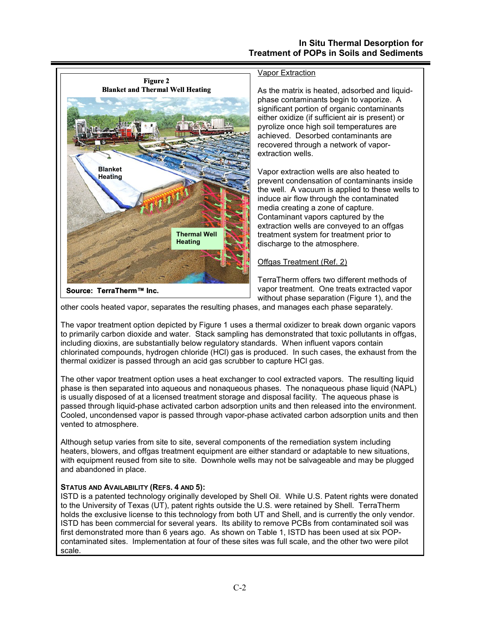

other cools heated vapor, separates the resulting phases, and manages each phase separately.

The vapor treatment option depicted by Figure 1 uses a thermal oxidizer to break down organic vapors to primarily carbon dioxide and water. Stack sampling has demonstrated that toxic pollutants in offgas, including dioxins, are substantially below regulatory standards. When influent vapors contain chlorinated compounds, hydrogen chloride (HCl) gas is produced. In such cases, the exhaust from the thermal oxidizer is passed through an acid gas scrubber to capture HCl gas.

The other vapor treatment option uses a heat exchanger to cool extracted vapors. The resulting liquid phase is then separated into aqueous and nonaqueous phases. The nonaqueous phase liquid (NAPL) is usually disposed of at a licensed treatment storage and disposal facility. The aqueous phase is passed through liquid-phase activated carbon adsorption units and then released into the environment. Cooled, uncondensed vapor is passed through vapor-phase activated carbon adsorption units and then vented to atmosphere.

Although setup varies from site to site, several components of the remediation system including heaters, blowers, and offgas treatment equipment are either standard or adaptable to new situations, with equipment reused from site to site. Downhole wells may not be salvageable and may be plugged and abandoned in place.

#### **STATUS AND AVAILABILITY (REFS. 4 AND 5):**

ISTD is a patented technology originally developed by Shell Oil. While U.S. Patent rights were donated to the University of Texas (UT), patent rights outside the U.S. were retained by Shell. TerraTherm holds the exclusive license to this technology from both UT and Shell, and is currently the only vendor. ISTD has been commercial for several years. Its ability to remove PCBs from contaminated soil was first demonstrated more than 6 years ago. As shown on Table 1, ISTD has been used at six POPcontaminated sites. Implementation at four of these sites was full scale, and the other two were pilot scale.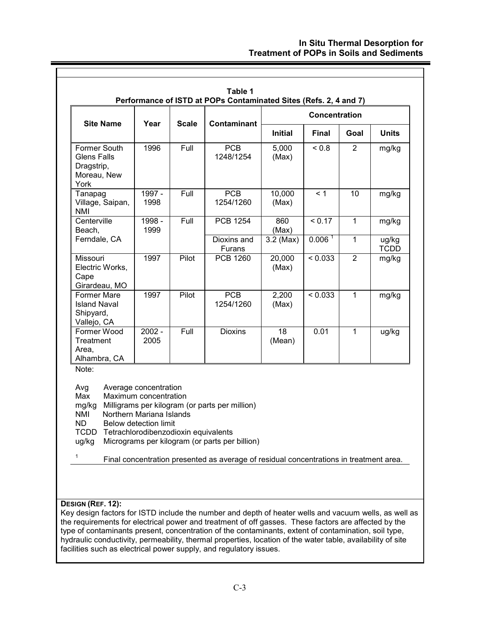## **In Situ Thermal Desorption for Treatment of POPs in Soils and Sediments**

| <b>Site Name</b>                                                                                                                                                                                                  | Year                                                                                                | <b>Scale</b> | Contaminant                                                                                      | <b>Concentration</b> |                    |                |                      |
|-------------------------------------------------------------------------------------------------------------------------------------------------------------------------------------------------------------------|-----------------------------------------------------------------------------------------------------|--------------|--------------------------------------------------------------------------------------------------|----------------------|--------------------|----------------|----------------------|
|                                                                                                                                                                                                                   |                                                                                                     |              |                                                                                                  | <b>Initial</b>       | <b>Final</b>       | Goal           | <b>Units</b>         |
| Former South<br><b>Glens Falls</b><br>Dragstrip,<br>Moreau, New<br>York                                                                                                                                           | 1996                                                                                                | Full         | <b>PCB</b><br>1248/1254                                                                          | 5,000<br>(Max)       | ${}_{0.8}$         | $\overline{2}$ | mg/kg                |
| Tanapag<br>Village, Saipan,<br><b>NMI</b>                                                                                                                                                                         | 1997 -<br>1998                                                                                      | Full         | <b>PCB</b><br>1254/1260                                                                          | 10,000<br>(Max)      | < 1                | 10             | mg/kg                |
| Centerville<br>Beach,                                                                                                                                                                                             | 1998 -<br>1999                                                                                      | Full         | <b>PCB 1254</b>                                                                                  | 860<br>(Max)         | < 0.17             | $\mathbf{1}$   | mg/kg                |
| Ferndale, CA                                                                                                                                                                                                      |                                                                                                     |              | Dioxins and<br>Furans                                                                            | $3.2$ (Max)          | 0.006 <sup>1</sup> | $\mathbf{1}$   | ug/kg<br><b>TCDD</b> |
| Missouri<br>Electric Works,<br>Cape<br>Girardeau, MO                                                                                                                                                              | 1997                                                                                                | Pilot        | <b>PCB 1260</b>                                                                                  | 20,000<br>(Max)      | < 0.033            | $\overline{2}$ | mg/kg                |
| Former Mare<br><b>Island Naval</b><br>Shipyard,<br>Vallejo, CA                                                                                                                                                    | 1997                                                                                                | Pilot        | <b>PCB</b><br>1254/1260                                                                          | 2,200<br>(Max)       | < 0.033            | $\mathbf{1}$   | mg/kg                |
| Former Wood<br>Treatment<br>Area,<br>Alhambra, CA                                                                                                                                                                 | $2002 -$<br>2005                                                                                    | Full         | <b>Dioxins</b>                                                                                   | 18<br>(Mean)         | 0.01               | $\overline{1}$ | ug/kg                |
| Note:<br>Avg<br>Max<br>mg/kg<br><b>NMI</b><br>ND.<br>TCDD Tetrachlorodibenzodioxin equivalents<br>ug/kg<br>$\mathbf{1}$<br>Final concentration presented as average of residual concentrations in treatment area. | Average concentration<br>Maximum concentration<br>Northern Mariana Islands<br>Below detection limit |              | Milligrams per kilogram (or parts per million)<br>Micrograms per kilogram (or parts per billion) |                      |                    |                |                      |

## **DESIGN (REF. 12):**

Key design factors for ISTD include the number and depth of heater wells and vacuum wells, as well as the requirements for electrical power and treatment of off gasses. These factors are affected by the type of contaminants present, concentration of the contaminants, extent of contamination, soil type, hydraulic conductivity, permeability, thermal properties, location of the water table, availability of site facilities such as electrical power supply, and regulatory issues.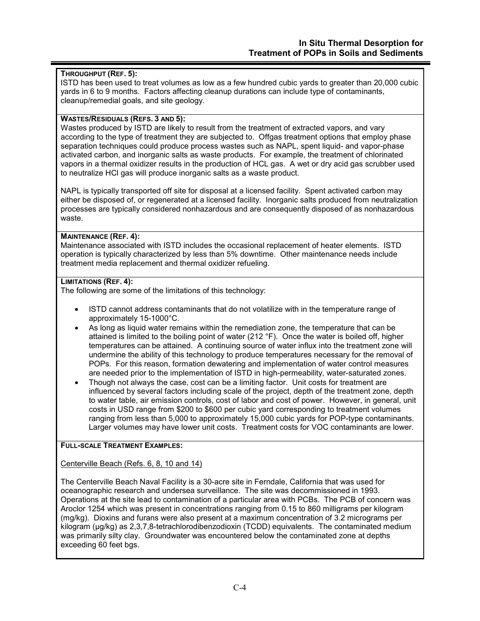## **THROUGHPUT (REF. 5):**

ISTD has been used to treat volumes as low as a few hundred cubic yards to greater than 20,000 cubic yards in 6 to 9 months. Factors affecting cleanup durations can include type of contaminants, cleanup/remedial goals, and site geology.

#### **WASTES/RESIDUALS (REFS. 3 AND 5):**

Wastes produced by ISTD are likely to result from the treatment of extracted vapors, and vary according to the type of treatment they are subjected to. Offgas treatment options that employ phase separation techniques could produce process wastes such as NAPL, spent liquid- and vapor-phase activated carbon, and inorganic salts as waste products. For example, the treatment of chlorinated vapors in a thermal oxidizer results in the production of HCL gas. A wet or dry acid gas scrubber used to neutralize HCl gas will produce inorganic salts as a waste product.

NAPL is typically transported off site for disposal at a licensed facility. Spent activated carbon may either be disposed of, or regenerated at a licensed facility. Inorganic salts produced from neutralization processes are typically considered nonhazardous and are consequently disposed of as nonhazardous waste.

#### **MAINTENANCE (REF. 4):**

Maintenance associated with ISTD includes the occasional replacement of heater elements. ISTD operation is typically characterized by less than 5% downtime. Other maintenance needs include treatment media replacement and thermal oxidizer refueling.

## **LIMITATIONS (REF. 4):**

The following are some of the limitations of this technology:

- ISTD cannot address contaminants that do not volatilize with in the temperature range of approximately 15-1000°C.
- As long as liquid water remains within the remediation zone, the temperature that can be attained is limited to the boiling point of water (212 °F). Once the water is boiled off, higher temperatures can be attained. A continuing source of water influx into the treatment zone will undermine the ability of this technology to produce temperatures necessary for the removal of POPs. For this reason, formation dewatering and implementation of water control measures are needed prior to the implementation of ISTD in high-permeability, water-saturated zones.
- Though not always the case, cost can be a limiting factor. Unit costs for treatment are influenced by several factors including scale of the project, depth of the treatment zone, depth to water table, air emission controls, cost of labor and cost of power. However, in general, unit costs in USD range from \$200 to \$600 per cubic yard corresponding to treatment volumes ranging from less than 5,000 to approximately 15,000 cubic yards for POP-type contaminants. Larger volumes may have lower unit costs. Treatment costs for VOC contaminants are lower.

#### **FULL-SCALE TREATMENT EXAMPLES:**

Centerville Beach (Refs. 6, 8, 10 and 14)

The Centerville Beach Naval Facility is a 30-acre site in Ferndale, California that was used for oceanographic research and undersea surveillance. The site was decommissioned in 1993. Operations at the site lead to contamination of a particular area with PCBs. The PCB of concern was Aroclor 1254 which was present in concentrations ranging from 0.15 to 860 milligrams per kilogram (mg/kg). Dioxins and furans were also present at a maximum concentration of 3.2 micrograms per kilogram (µg/kg) as 2,3,7,8-tetrachlorodibenzodioxin (TCDD) equivalents. The contaminated medium was primarily silty clay. Groundwater was encountered below the contaminated zone at depths exceeding 60 feet bgs.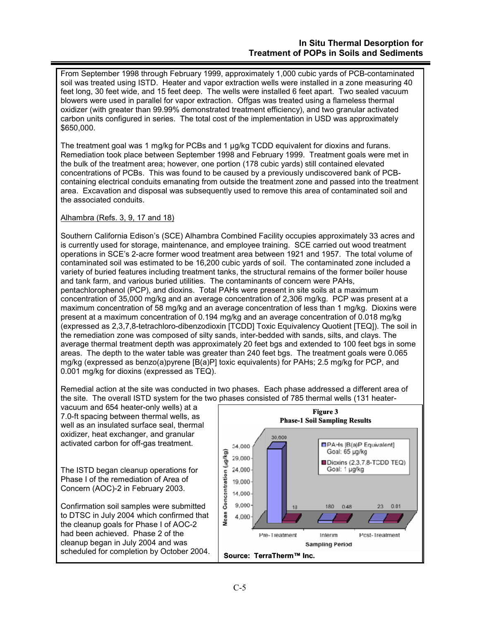From September 1998 through February 1999, approximately 1,000 cubic yards of PCB-contaminated soil was treated using ISTD. Heater and vapor extraction wells were installed in a zone measuring 40 feet long, 30 feet wide, and 15 feet deep. The wells were installed 6 feet apart. Two sealed vacuum blowers were used in parallel for vapor extraction. Offgas was treated using a flameless thermal oxidizer (with greater than 99.99% demonstrated treatment efficiency), and two granular activated carbon units configured in series. The total cost of the implementation in USD was approximately \$650,000.

The treatment goal was 1 mg/kg for PCBs and 1 µg/kg TCDD equivalent for dioxins and furans. Remediation took place between September 1998 and February 1999. Treatment goals were met in the bulk of the treatment area; however, one portion (178 cubic yards) still contained elevated concentrations of PCBs. This was found to be caused by a previously undiscovered bank of PCBcontaining electrical conduits emanating from outside the treatment zone and passed into the treatment area. Excavation and disposal was subsequently used to remove this area of contaminated soil and the associated conduits.

# Alhambra (Refs. 3, 9, 17 and 18)

Southern California Edison's (SCE) Alhambra Combined Facility occupies approximately 33 acres and is currently used for storage, maintenance, and employee training. SCE carried out wood treatment operations in SCE's 2-acre former wood treatment area between 1921 and 1957. The total volume of contaminated soil was estimated to be 16,200 cubic yards of soil. The contaminated zone included a variety of buried features including treatment tanks, the structural remains of the former boiler house and tank farm, and various buried utilities. The contaminants of concern were PAHs, pentachlorophenol (PCP), and dioxins. Total PAHs were present in site soils at a maximum concentration of 35,000 mg/kg and an average concentration of 2,306 mg/kg. PCP was present at a maximum concentration of 58 mg/kg and an average concentration of less than 1 mg/kg. Dioxins were present at a maximum concentration of 0.194 mg/kg and an average concentration of 0.018 mg/kg (expressed as 2,3,7,8-tetrachloro-dibenzodioxin [TCDD] Toxic Equivalency Quotient [TEQ]). The soil in the remediation zone was composed of silty sands, inter-bedded with sands, silts, and clays. The average thermal treatment depth was approximately 20 feet bgs and extended to 100 feet bgs in some areas. The depth to the water table was greater than 240 feet bgs. The treatment goals were 0.065 mg/kg (expressed as benzo(a)pyrene [B(a)P] toxic equivalents) for PAHs; 2.5 mg/kg for PCP, and 0.001 mg/kg for dioxins (expressed as TEQ).

Remedial action at the site was conducted in two phases. Each phase addressed a different area of the site. The overall ISTD system for the two phases consisted of 785 thermal wells (131 heater-

vacuum and 654 heater-only wells) at a 7.0-ft spacing between thermal wells, as well as an insulated surface seal, thermal oxidizer, heat exchanger, and granular activated carbon for off-gas treatment.

The ISTD began cleanup operations for Phase I of the remediation of Area of Concern (AOC)-2 in February 2003.

Confirmation soil samples were submitted to DTSC in July 2004 which confirmed that the cleanup goals for Phase I of AOC-2 had been achieved. Phase 2 of the cleanup began in July 2004 and was scheduled for completion by October 2004.

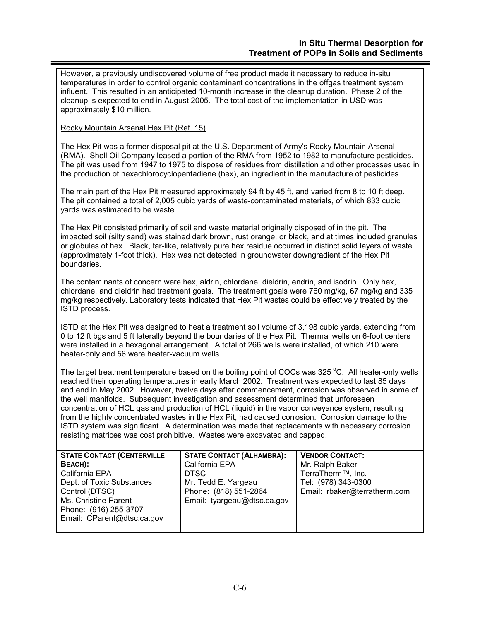However, a previously undiscovered volume of free product made it necessary to reduce in-situ temperatures in order to control organic contaminant concentrations in the offgas treatment system influent. This resulted in an anticipated 10-month increase in the cleanup duration. Phase 2 of the cleanup is expected to end in August 2005. The total cost of the implementation in USD was approximately \$10 million.

## Rocky Mountain Arsenal Hex Pit (Ref. 15)

The Hex Pit was a former disposal pit at the U.S. Department of Army's Rocky Mountain Arsenal (RMA). Shell Oil Company leased a portion of the RMA from 1952 to 1982 to manufacture pesticides. The pit was used from 1947 to 1975 to dispose of residues from distillation and other processes used in the production of hexachlorocyclopentadiene (hex), an ingredient in the manufacture of pesticides.

The main part of the Hex Pit measured approximately 94 ft by 45 ft, and varied from 8 to 10 ft deep. The pit contained a total of 2,005 cubic yards of waste-contaminated materials, of which 833 cubic yards was estimated to be waste.

The Hex Pit consisted primarily of soil and waste material originally disposed of in the pit. The impacted soil (silty sand) was stained dark brown, rust orange, or black, and at times included granules or globules of hex. Black, tar-like, relatively pure hex residue occurred in distinct solid layers of waste (approximately 1-foot thick). Hex was not detected in groundwater downgradient of the Hex Pit boundaries.

The contaminants of concern were hex, aldrin, chlordane, dieldrin, endrin, and isodrin. Only hex, chlordane, and dieldrin had treatment goals. The treatment goals were 760 mg/kg, 67 mg/kg and 335 mg/kg respectively. Laboratory tests indicated that Hex Pit wastes could be effectively treated by the ISTD process.

ISTD at the Hex Pit was designed to heat a treatment soil volume of 3,198 cubic yards, extending from 0 to 12 ft bgs and 5 ft laterally beyond the boundaries of the Hex Pit. Thermal wells on 6-foot centers were installed in a hexagonal arrangement. A total of 266 wells were installed, of which 210 were heater-only and 56 were heater-vacuum wells.

The target treatment temperature based on the boiling point of COCs was 325  $^{\circ}$ C. All heater-only wells reached their operating temperatures in early March 2002. Treatment was expected to last 85 days and end in May 2002. However, twelve days after commencement, corrosion was observed in some of the well manifolds. Subsequent investigation and assessment determined that unforeseen concentration of HCL gas and production of HCL (liquid) in the vapor conveyance system, resulting from the highly concentrated wastes in the Hex Pit, had caused corrosion. Corrosion damage to the ISTD system was significant. A determination was made that replacements with necessary corrosion resisting matrices was cost prohibitive. Wastes were excavated and capped.

| <b>STATE CONTACT (CENTERVILLE</b> | <b>STATE CONTACT (ALHAMBRA):</b> | <b>VENDOR CONTACT:</b>         |
|-----------------------------------|----------------------------------|--------------------------------|
| BEACH):                           | California EPA                   | Mr. Ralph Baker                |
| California EPA                    | <b>DTSC</b>                      | TerraTherm <sup>™</sup> , Inc. |
| Dept. of Toxic Substances         | Mr. Tedd E. Yargeau              | Tel: (978) 343-0300            |
| Control (DTSC)                    | Phone: (818) 551-2864            | Email: rbaker@terratherm.com   |
| Ms. Christine Parent              | Email: tyargeau@dtsc.ca.gov      |                                |
| Phone: (916) 255-3707             |                                  |                                |
| Email: CParent@dtsc.ca.gov        |                                  |                                |
|                                   |                                  |                                |